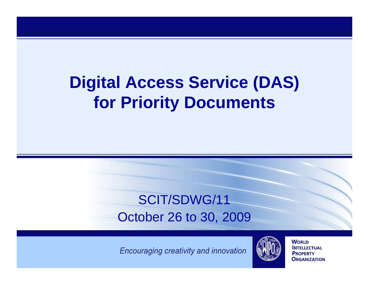# **Digital Access Service (DAS) for Priority Documents**

#### SCIT/SDWG/11October 26 to 30, 2009

Encouraging creativity and innovation



**WORLD INTELLECTUAL PROPERTY ORGANIZATION**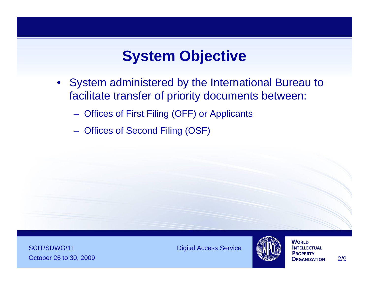### **System Objective**

- System administered by the International Bureau to facilitate transfer of priority documents between:
	- Offices of First Filing (OFF) or Applicants
	- Offices of Second Filing (OSF)

**SCIT/SDWG/11** Digital Access Service October 26 to 30, 2009 2/9



**WORLD INTELLECTUAL PROPERTY**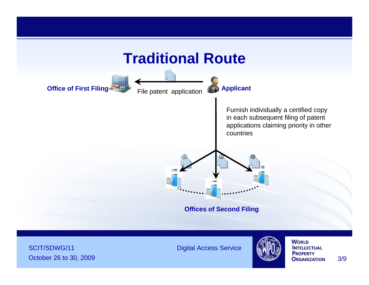

SCIT/SDWG/11 Digital Access Service October 26 to 30, 2009 3/9

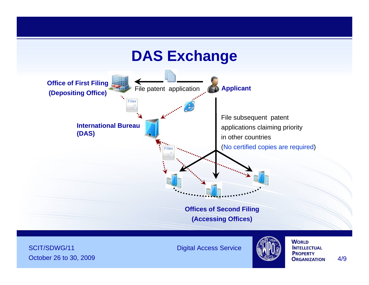#### **DAS Exchange**



**SCIT/SDWG/11** Digital Access Service October 26 to 30, 2009 **19 and 2009 Contract Contract Contract Contract Contract Contract Contract Contract Contract Contract Contract Contract Contract Contract Contract Contract Contract Contract Contract Contract Cont** 

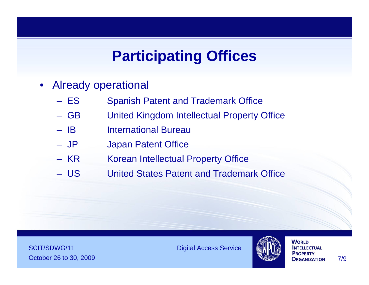## **Participating Offices**

- Already operational
	- ES Spanish Patent and Trademark Office
	- GB United Kingdom Intellectual Property Office
	- IB International Bureau
	- JP Japan Patent Office
	- KR Korean Intellectual Property Office
	- US United States Patent and Trademark Office

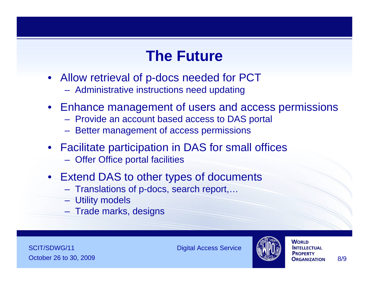#### **The Future**

- Allow retrieval of p-docs needed for PCT
	- Administrative instructions need updating
- Enhance management of users and access permissions
	- Provide an account based access to DAS portal
	- Better management of access permissions
- Facilitate participation in DAS for small offices
	- Offer Office portal facilities
- Extend DAS to other types of documents
	- Translations of p-docs, search report,…
	- Utility models
	- Trade marks, designs

**SCIT/SDWG/11** Digital Access Service October 26 to 30, 2009 **8/9 October 26 to 30, 2009** 8/9